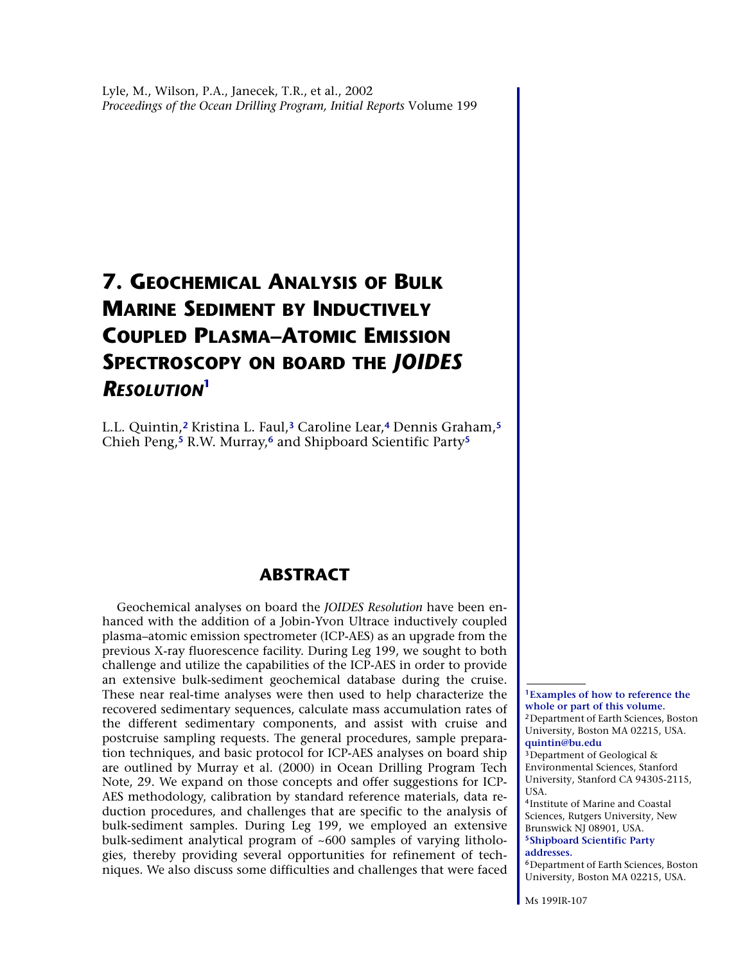# <span id="page-0-6"></span>**7. GEOCHEMICAL ANALYSIS OF BULK MARINE SEDIMENT BY INDUCTIVELY COUPLED PLASMA–ATOMIC EMISSION SPECTROSCOPY ON BOARD THE** *JOIDES RESOLUTION***[1](#page-0-0)**

L.L. Quintin,**[2](#page-0-1)** Kristina L. Faul,**[3](#page-0-2)** Caroline Lear,**[4](#page-0-3)** Dennis Graham,**[5](#page-0-4)** Chieh Peng,**[5](#page-0-4)** R.W. Murray,**[6](#page-0-5)** and Shipboard Scientific Party**[5](#page-0-4)**

## **ABSTRACT**

Geochemical analyses on board the *JOIDES Resolution* have been enhanced with the addition of a Jobin-Yvon Ultrace inductively coupled plasma–atomic emission spectrometer (ICP-AES) as an upgrade from the previous X-ray fluorescence facility. During Leg 199, we sought to both challenge and utilize the capabilities of the ICP-AES in order to provide an extensive bulk-sediment geochemical database during the cruise. These near real-time analyses were then used to help characterize the recovered sedimentary sequences, calculate mass accumulation rates of the different sedimentary components, and assist with cruise and postcruise sampling requests. The general procedures, sample preparation techniques, and basic protocol for ICP-AES analyses on board ship are outlined by Murray et al. (2000) in Ocean Drilling Program Tech Note, 29. We expand on those concepts and offer suggestions for ICP-AES methodology, calibration by standard reference materials, data reduction procedures, and challenges that are specific to the analysis of bulk-sediment samples. During Leg 199, we employed an extensive bulk-sediment analytical program of ~600 samples of varying lithologies, thereby providing several opportunities for refinement of techniques. We also discuss some difficulties and challenges that were faced

<span id="page-0-1"></span><span id="page-0-0"></span>**<sup>1</sup>Examples of how to reference the whole or part of this volume.** <sup>2</sup>Department of Earth Sciences, Boston University, Boston MA 02215, USA. **[quintin@bu.edu](mailto:quintin@bu.edu)**

<span id="page-0-2"></span><sup>3</sup>Department of Geological & Environmental Sciences, Stanford University, Stanford CA 94305-2115, USA.

<span id="page-0-4"></span><span id="page-0-3"></span><sup>4</sup>Institute of Marine and Coastal Sciences, Rutgers University, New Brunswick NJ 08901, USA. **<sup>5</sup>[Shipboard Scientific Party](#page-10-0)** 

#### **[addresses.](#page-10-0)**

<span id="page-0-5"></span><sup>6</sup>Department of Earth Sciences, Boston University, Boston MA 02215, USA.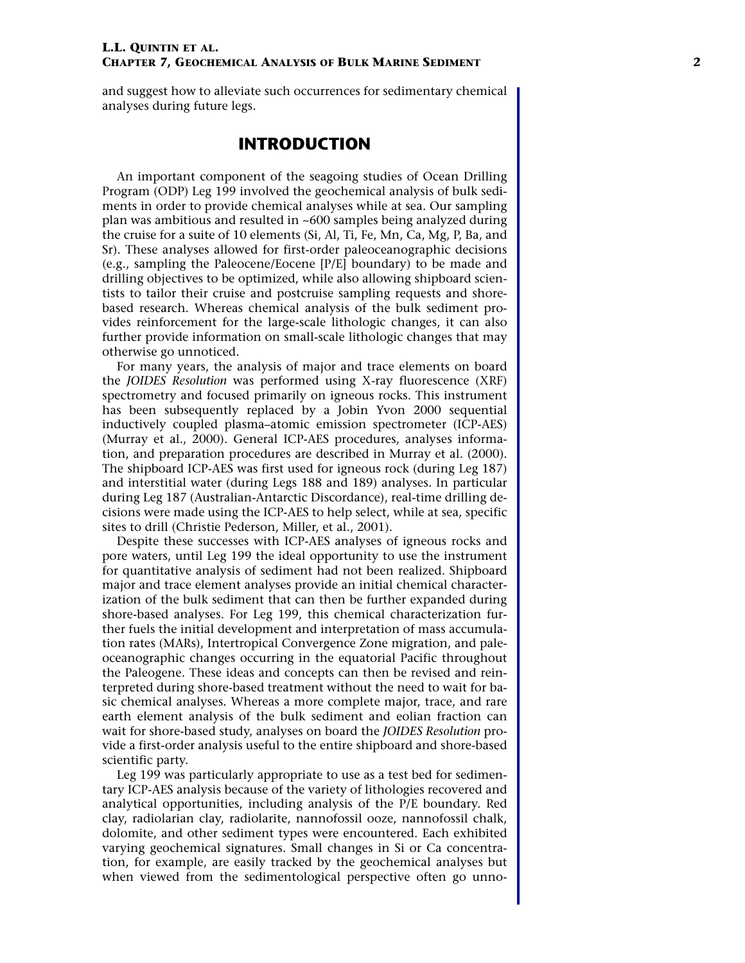and suggest how to alleviate such occurrences for sedimentary chemical analyses during future legs.

## **INTRODUCTION**

An important component of the seagoing studies of Ocean Drilling Program (ODP) Leg 199 involved the geochemical analysis of bulk sediments in order to provide chemical analyses while at sea. Our sampling plan was ambitious and resulted in ~600 samples being analyzed during the cruise for a suite of 10 elements (Si, Al, Ti, Fe, Mn, Ca, Mg, P, Ba, and Sr). These analyses allowed for first-order paleoceanographic decisions (e.g., sampling the Paleocene/Eocene [P/E] boundary) to be made and drilling objectives to be optimized, while also allowing shipboard scientists to tailor their cruise and postcruise sampling requests and shorebased research. Whereas chemical analysis of the bulk sediment provides reinforcement for the large-scale lithologic changes, it can also further provide information on small-scale lithologic changes that may otherwise go unnoticed.

For many years, the analysis of major and trace elements on board the *JOIDES Resolution* was performed using X-ray fluorescence (XRF) spectrometry and focused primarily on igneous rocks. This instrument has been subsequently replaced by a Jobin Yvon 2000 sequential inductively coupled plasma–atomic emission spectrometer (ICP-AES) (Murray et al., 2000). General ICP-AES procedures, analyses information, and preparation procedures are described in Murray et al. (2000). The shipboard ICP-AES was first used for igneous rock (during Leg 187) and interstitial water (during Legs 188 and 189) analyses. In particular during Leg 187 (Australian-Antarctic Discordance), real-time drilling decisions were made using the ICP-AES to help select, while at sea, specific sites to drill (Christie Pederson, Miller, et al., 2001).

Despite these successes with ICP-AES analyses of igneous rocks and pore waters, until Leg 199 the ideal opportunity to use the instrument for quantitative analysis of sediment had not been realized. Shipboard major and trace element analyses provide an initial chemical characterization of the bulk sediment that can then be further expanded during shore-based analyses. For Leg 199, this chemical characterization further fuels the initial development and interpretation of mass accumulation rates (MARs), Intertropical Convergence Zone migration, and paleoceanographic changes occurring in the equatorial Pacific throughout the Paleogene. These ideas and concepts can then be revised and reinterpreted during shore-based treatment without the need to wait for basic chemical analyses. Whereas a more complete major, trace, and rare earth element analysis of the bulk sediment and eolian fraction can wait for shore-based study, analyses on board the *JOIDES Resolution* provide a first-order analysis useful to the entire shipboard and shore-based scientific party.

Leg 199 was particularly appropriate to use as a test bed for sedimentary ICP-AES analysis because of the variety of lithologies recovered and analytical opportunities, including analysis of the P/E boundary. Red clay, radiolarian clay, radiolarite, nannofossil ooze, nannofossil chalk, dolomite, and other sediment types were encountered. Each exhibited varying geochemical signatures. Small changes in Si or Ca concentration, for example, are easily tracked by the geochemical analyses but when viewed from the sedimentological perspective often go unno-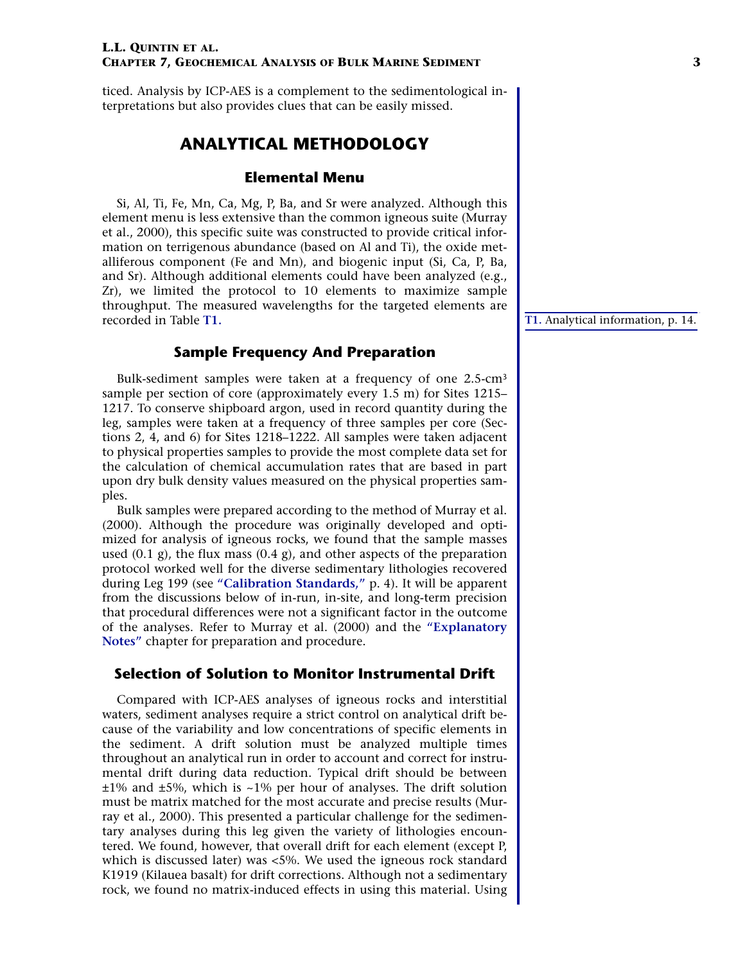ticed. Analysis by ICP-AES is a complement to the sedimentological interpretations but also provides clues that can be easily missed.

## **ANALYTICAL METHODOLOGY**

#### **Elemental Menu**

Si, Al, Ti, Fe, Mn, Ca, Mg, P, Ba, and Sr were analyzed. Although this element menu is less extensive than the common igneous suite (Murray et al., 2000), this specific suite was constructed to provide critical information on terrigenous abundance (based on Al and Ti), the oxide metalliferous component (Fe and Mn), and biogenic input (Si, Ca, P, Ba, and Sr). Although additional elements could have been analyzed (e.g., Zr), we limited the protocol to 10 elements to maximize sample throughput. The measured wavelengths for the targeted elements are recorded in Table **[T1.](#page-13-0)**

#### **Sample Frequency And Preparation**

Bulk-sediment samples were taken at a frequency of one 2.5-cm<sup>3</sup> sample per section of core (approximately every 1.5 m) for Sites 1215– 1217. To conserve shipboard argon, used in record quantity during the leg, samples were taken at a frequency of three samples per core (Sections 2, 4, and 6) for Sites 1218–1222. All samples were taken adjacent to physical properties samples to provide the most complete data set for the calculation of chemical accumulation rates that are based in part upon dry bulk density values measured on the physical properties samples.

Bulk samples were prepared according to the method of Murray et al. (2000). Although the procedure was originally developed and optimized for analysis of igneous rocks, we found that the sample masses used  $(0.1 \text{ g})$ , the flux mass  $(0.4 \text{ g})$ , and other aspects of the preparation protocol worked well for the diverse sedimentary lithologies recovered during Leg 199 (see **["Calibration Standards,"](#page-3-0)** p. 4). It will be apparent from the discussions below of in-run, in-site, and long-term precision that procedural differences were not a significant factor in the outcome of the analyses. Refer to Murray et al. (2000) and the **["Explanatory](#page-0-6) [Notes"](#page-0-6)** chapter for preparation and procedure.

#### **Selection of Solution to Monitor Instrumental Drift**

Compared with ICP-AES analyses of igneous rocks and interstitial waters, sediment analyses require a strict control on analytical drift because of the variability and low concentrations of specific elements in the sediment. A drift solution must be analyzed multiple times throughout an analytical run in order to account and correct for instrumental drift during data reduction. Typical drift should be between  $±1\%$  and  $±5\%$ , which is  $~1\%$  per hour of analyses. The drift solution must be matrix matched for the most accurate and precise results (Murray et al., 2000). This presented a particular challenge for the sedimentary analyses during this leg given the variety of lithologies encountered. We found, however, that overall drift for each element (except P, which is discussed later) was <5%. We used the igneous rock standard K1919 (Kilauea basalt) for drift corrections. Although not a sedimentary rock, we found no matrix-induced effects in using this material. Using

**[T1.](#page-13-0)** Analytical information, p. 14.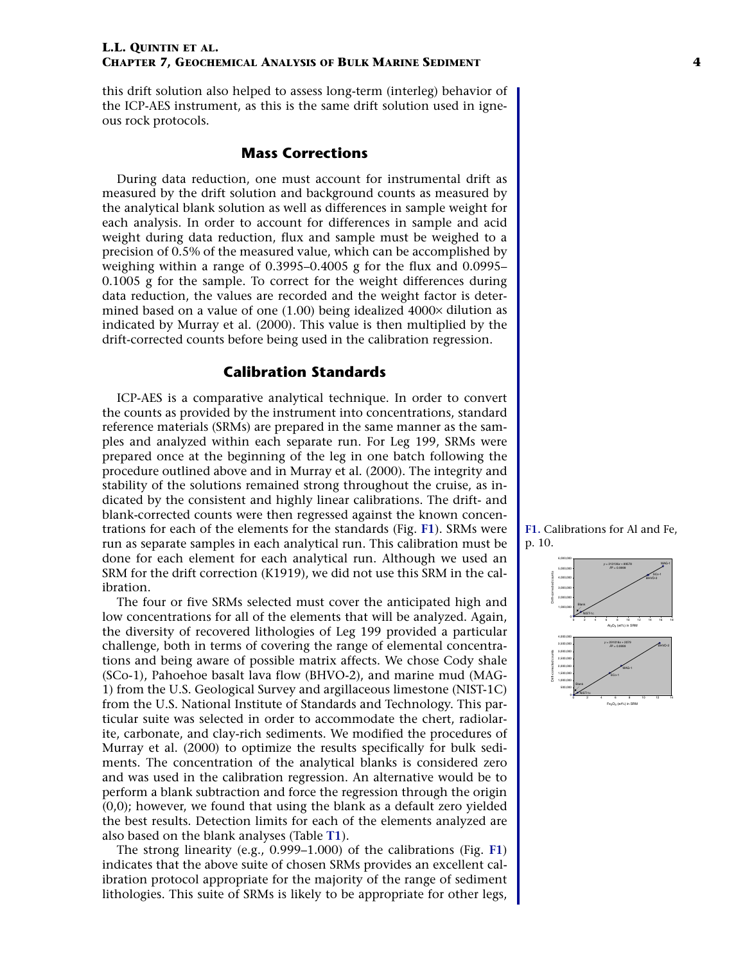this drift solution also helped to assess long-term (interleg) behavior of the ICP-AES instrument, as this is the same drift solution used in igneous rock protocols.

#### **Mass Corrections**

During data reduction, one must account for instrumental drift as measured by the drift solution and background counts as measured by the analytical blank solution as well as differences in sample weight for each analysis. In order to account for differences in sample and acid weight during data reduction, flux and sample must be weighed to a precision of 0.5% of the measured value, which can be accomplished by weighing within a range of 0.3995–0.4005 g for the flux and 0.0995– 0.1005 g for the sample. To correct for the weight differences during data reduction, the values are recorded and the weight factor is determined based on a value of one (1.00) being idealized 4000× dilution as indicated by Murray et al. (2000). This value is then multiplied by the drift-corrected counts before being used in the calibration regression.

#### **Calibration Standards**

<span id="page-3-0"></span>ICP-AES is a comparative analytical technique. In order to convert the counts as provided by the instrument into concentrations, standard reference materials (SRMs) are prepared in the same manner as the samples and analyzed within each separate run. For Leg 199, SRMs were prepared once at the beginning of the leg in one batch following the procedure outlined above and in Murray et al. (2000). The integrity and stability of the solutions remained strong throughout the cruise, as indicated by the consistent and highly linear calibrations. The drift- and blank-corrected counts were then regressed against the known concentrations for each of the elements for the standards (Fig. **[F1](#page-9-0)**). SRMs were run as separate samples in each analytical run. This calibration must be done for each element for each analytical run. Although we used an SRM for the drift correction (K1919), we did not use this SRM in the calibration.

The four or five SRMs selected must cover the anticipated high and low concentrations for all of the elements that will be analyzed. Again, the diversity of recovered lithologies of Leg 199 provided a particular challenge, both in terms of covering the range of elemental concentrations and being aware of possible matrix affects. We chose Cody shale (SCo-1), Pahoehoe basalt lava flow (BHVO-2), and marine mud (MAG-1) from the U.S. Geological Survey and argillaceous limestone (NIST-1C) from the U.S. National Institute of Standards and Technology. This particular suite was selected in order to accommodate the chert, radiolarite, carbonate, and clay-rich sediments. We modified the procedures of Murray et al. (2000) to optimize the results specifically for bulk sediments. The concentration of the analytical blanks is considered zero and was used in the calibration regression. An alternative would be to perform a blank subtraction and force the regression through the origin (0,0); however, we found that using the blank as a default zero yielded the best results. Detection limits for each of the elements analyzed are also based on the blank analyses (Table **[T1](#page-13-0)**).

The strong linearity (e.g., 0.999–1.000) of the calibrations (Fig. **[F1](#page-9-0)**) indicates that the above suite of chosen SRMs provides an excellent calibration protocol appropriate for the majority of the range of sediment lithologies. This suite of SRMs is likely to be appropriate for other legs,



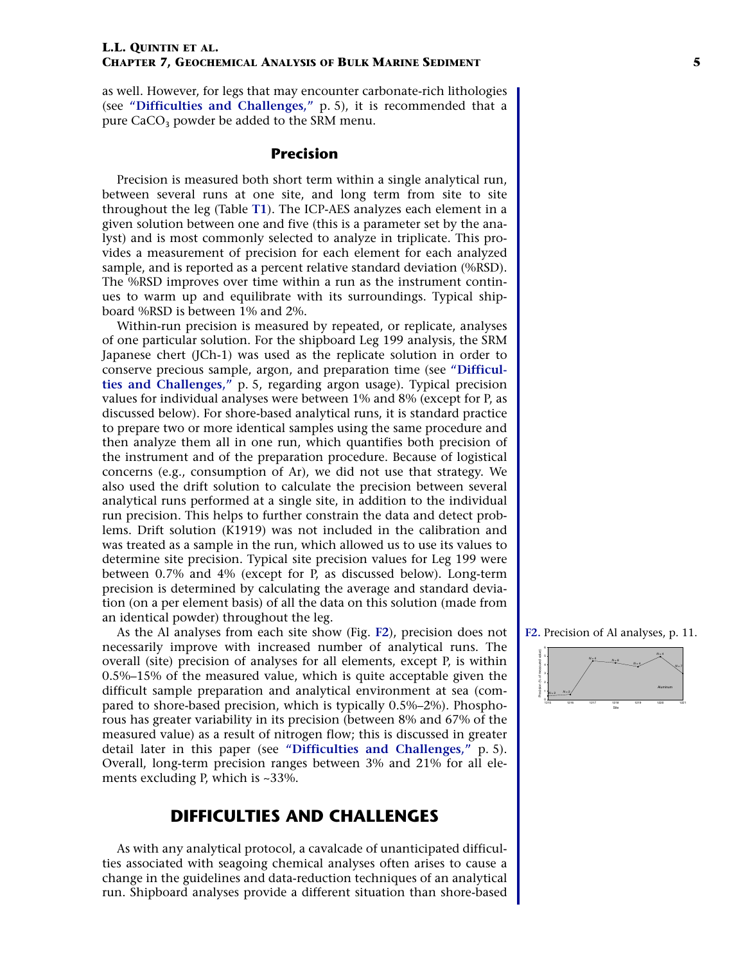as well. However, for legs that may encounter carbonate-rich lithologies (see **["Difficulties and Challenges,"](#page-4-0)** p. 5), it is recommended that a pure  $CaCO<sub>3</sub>$  powder be added to the SRM menu.

#### **Precision**

Precision is measured both short term within a single analytical run, between several runs at one site, and long term from site to site throughout the leg (Table **[T1](#page-13-0)**). The ICP-AES analyzes each element in a given solution between one and five (this is a parameter set by the analyst) and is most commonly selected to analyze in triplicate. This provides a measurement of precision for each element for each analyzed sample, and is reported as a percent relative standard deviation (%RSD). The %RSD improves over time within a run as the instrument continues to warm up and equilibrate with its surroundings. Typical shipboard %RSD is between 1% and 2%.

Within-run precision is measured by repeated, or replicate, analyses of one particular solution. For the shipboard Leg 199 analysis, the SRM Japanese chert (JCh-1) was used as the replicate solution in order to conserve precious sample, argon, and preparation time (see **["Difficul](#page-4-0)[ties and Challenges,"](#page-4-0)** p. 5, regarding argon usage). Typical precision values for individual analyses were between 1% and 8% (except for P, as discussed below). For shore-based analytical runs, it is standard practice to prepare two or more identical samples using the same procedure and then analyze them all in one run, which quantifies both precision of the instrument and of the preparation procedure. Because of logistical concerns (e.g., consumption of Ar), we did not use that strategy. We also used the drift solution to calculate the precision between several analytical runs performed at a single site, in addition to the individual run precision. This helps to further constrain the data and detect problems. Drift solution (K1919) was not included in the calibration and was treated as a sample in the run, which allowed us to use its values to determine site precision. Typical site precision values for Leg 199 were between 0.7% and 4% (except for P, as discussed below). Long-term precision is determined by calculating the average and standard deviation (on a per element basis) of all the data on this solution (made from an identical powder) throughout the leg.

As the Al analyses from each site show (Fig. **[F2](#page-10-1)**), precision does not necessarily improve with increased number of analytical runs. The overall (site) precision of analyses for all elements, except P, is within 0.5%–15% of the measured value, which is quite acceptable given the difficult sample preparation and analytical environment at sea (compared to shore-based precision, which is typically 0.5%–2%). Phosphorous has greater variability in its precision (between 8% and 67% of the measured value) as a result of nitrogen flow; this is discussed in greater detail later in this paper (see **["Difficulties and Challenges,"](#page-4-0)** p. 5). Overall, long-term precision ranges between 3% and 21% for all elements excluding P, which is ~33%.

## **DIFFICULTIES AND CHALLENGES**

<span id="page-4-0"></span>As with any analytical protocol, a cavalcade of unanticipated difficulties associated with seagoing chemical analyses often arises to cause a change in the guidelines and data-reduction techniques of an analytical run. Shipboard analyses provide a different situation than shore-based

**[F2.](#page-10-1)** Precision of Al analyses, p. 11.

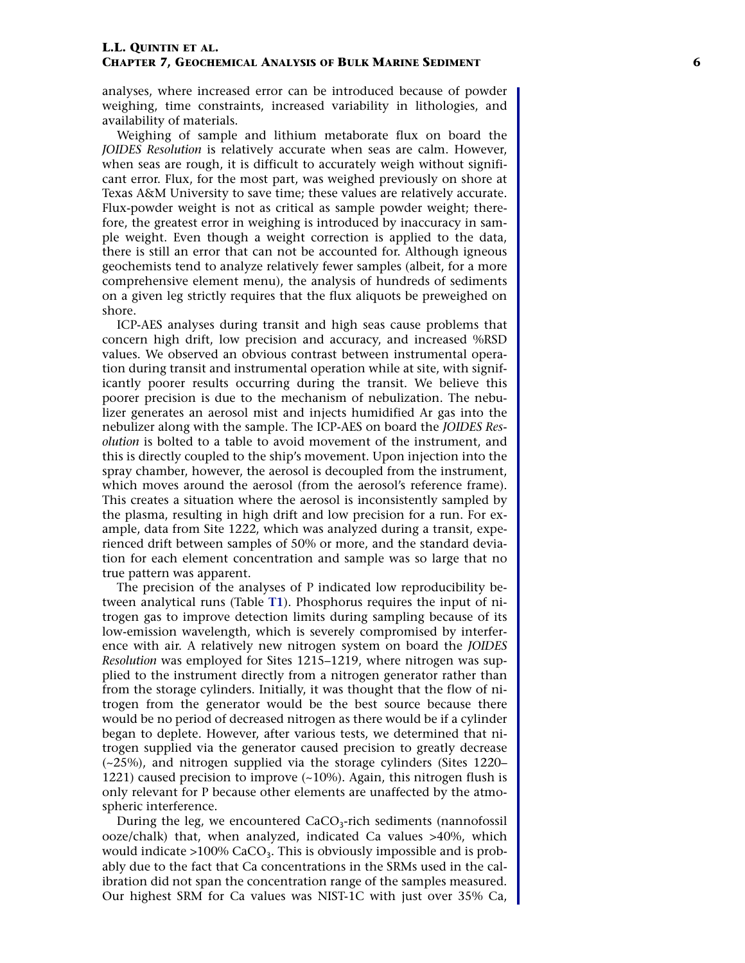analyses, where increased error can be introduced because of powder weighing, time constraints, increased variability in lithologies, and availability of materials.

Weighing of sample and lithium metaborate flux on board the *JOIDES Resolution* is relatively accurate when seas are calm. However, when seas are rough, it is difficult to accurately weigh without significant error. Flux, for the most part, was weighed previously on shore at Texas A&M University to save time; these values are relatively accurate. Flux-powder weight is not as critical as sample powder weight; therefore, the greatest error in weighing is introduced by inaccuracy in sample weight. Even though a weight correction is applied to the data, there is still an error that can not be accounted for. Although igneous geochemists tend to analyze relatively fewer samples (albeit, for a more comprehensive element menu), the analysis of hundreds of sediments on a given leg strictly requires that the flux aliquots be preweighed on shore.

ICP-AES analyses during transit and high seas cause problems that concern high drift, low precision and accuracy, and increased %RSD values. We observed an obvious contrast between instrumental operation during transit and instrumental operation while at site, with significantly poorer results occurring during the transit. We believe this poorer precision is due to the mechanism of nebulization. The nebulizer generates an aerosol mist and injects humidified Ar gas into the nebulizer along with the sample. The ICP-AES on board the *JOIDES Resolution* is bolted to a table to avoid movement of the instrument, and this is directly coupled to the ship's movement. Upon injection into the spray chamber, however, the aerosol is decoupled from the instrument, which moves around the aerosol (from the aerosol's reference frame). This creates a situation where the aerosol is inconsistently sampled by the plasma, resulting in high drift and low precision for a run. For example, data from Site 1222, which was analyzed during a transit, experienced drift between samples of 50% or more, and the standard deviation for each element concentration and sample was so large that no true pattern was apparent.

The precision of the analyses of P indicated low reproducibility between analytical runs (Table **[T1](#page-13-0)**). Phosphorus requires the input of nitrogen gas to improve detection limits during sampling because of its low-emission wavelength, which is severely compromised by interference with air. A relatively new nitrogen system on board the *JOIDES Resolution* was employed for Sites 1215–1219, where nitrogen was supplied to the instrument directly from a nitrogen generator rather than from the storage cylinders. Initially, it was thought that the flow of nitrogen from the generator would be the best source because there would be no period of decreased nitrogen as there would be if a cylinder began to deplete. However, after various tests, we determined that nitrogen supplied via the generator caused precision to greatly decrease (~25%), and nitrogen supplied via the storage cylinders (Sites 1220– 1221) caused precision to improve  $(-10\%)$ . Again, this nitrogen flush is only relevant for P because other elements are unaffected by the atmospheric interference.

During the leg, we encountered CaCO <sup>3</sup>-rich sediments (nannofossil ooze/chalk) that, when analyzed, indicated Ca values >40%, which would indicate >100% CaCO 3. This is obviously impossible and is probably due to the fact that Ca concentrations in the SRMs used in the calibration did not span the concentration range of the samples measured. Our highest SRM for Ca values was NIST-1C with just over 35% Ca,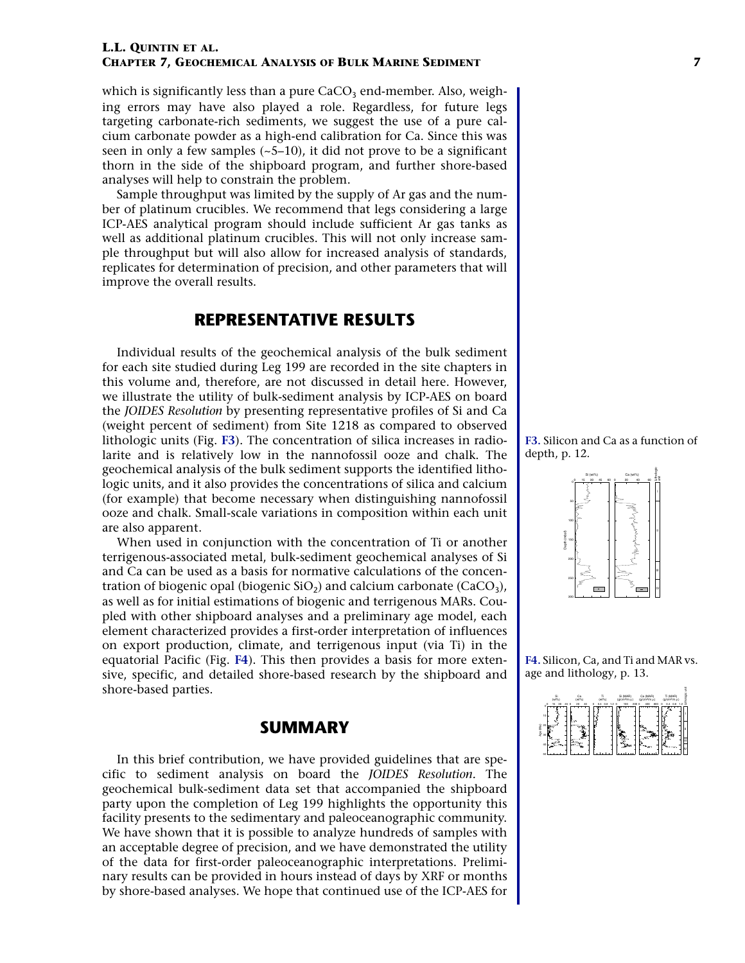which is significantly less than a pure  $CaCO<sub>3</sub>$  end-member. Also, weighing errors may have also played a role. Regardless, for future legs targeting carbonate-rich sediments, we suggest the use of a pure calcium carbonate powder as a high-end calibration for Ca. Since this was seen in only a few samples  $(-5-10)$ , it did not prove to be a significant thorn in the side of the shipboard program, and further shore-based analyses will help to constrain the problem.

Sample throughput was limited by the supply of Ar gas and the number of platinum crucibles. We recommend that legs considering a large ICP-AES analytical program should include sufficient Ar gas tanks as well as additional platinum crucibles. This will not only increase sample throughput but will also allow for increased analysis of standards, replicates for determination of precision, and other parameters that will improve the overall results.

## **REPRESENTATIVE RESULTS**

Individual results of the geochemical analysis of the bulk sediment for each site studied during Leg 199 are recorded in the site chapters in this volume and, therefore, are not discussed in detail here. However, we illustrate the utility of bulk-sediment analysis by ICP-AES on board the *JOIDES Resolution* by presenting representative profiles of Si and Ca (weight percent of sediment) from Site 1218 as compared to observed lithologic units (Fig. **[F3](#page-11-0)**). The concentration of silica increases in radiolarite and is relatively low in the nannofossil ooze and chalk. The geochemical analysis of the bulk sediment supports the identified lithologic units, and it also provides the concentrations of silica and calcium (for example) that become necessary when distinguishing nannofossil ooze and chalk. Small-scale variations in composition within each unit are also apparent.

When used in conjunction with the concentration of Ti or another terrigenous-associated metal, bulk-sediment geochemical analyses of Si and Ca can be used as a basis for normative calculations of the concentration of biogenic opal (biogenic  $SiO<sub>2</sub>$ ) and calcium carbonate (CaCO<sub>3</sub>), as well as for initial estimations of biogenic and terrigenous MARs. Coupled with other shipboard analyses and a preliminary age model, each element characterized provides a first-order interpretation of influences on export production, climate, and terrigenous input (via Ti) in the equatorial Pacific (Fig. **[F4](#page-12-0)**). This then provides a basis for more extensive, specific, and detailed shore-based research by the shipboard and shore-based parties.

### **SUMMARY**

In this brief contribution, we have provided guidelines that are specific to sediment analysis on board the *JOIDES Resolution.* The geochemical bulk-sediment data set that accompanied the shipboard party upon the completion of Leg 199 highlights the opportunity this facility presents to the sedimentary and paleoceanographic community. We have shown that it is possible to analyze hundreds of samples with an acceptable degree of precision, and we have demonstrated the utility of the data for first-order paleoceanographic interpretations. Preliminary results can be provided in hours instead of days by XRF or months by shore-based analyses. We hope that continued use of the ICP-AES for

**[F3.](#page-11-0)** Silicon and Ca as a function of depth, p. 12.



**[F4.](#page-12-0)** Silicon, Ca, and Ti and MAR vs. age and lithology, p. 13.

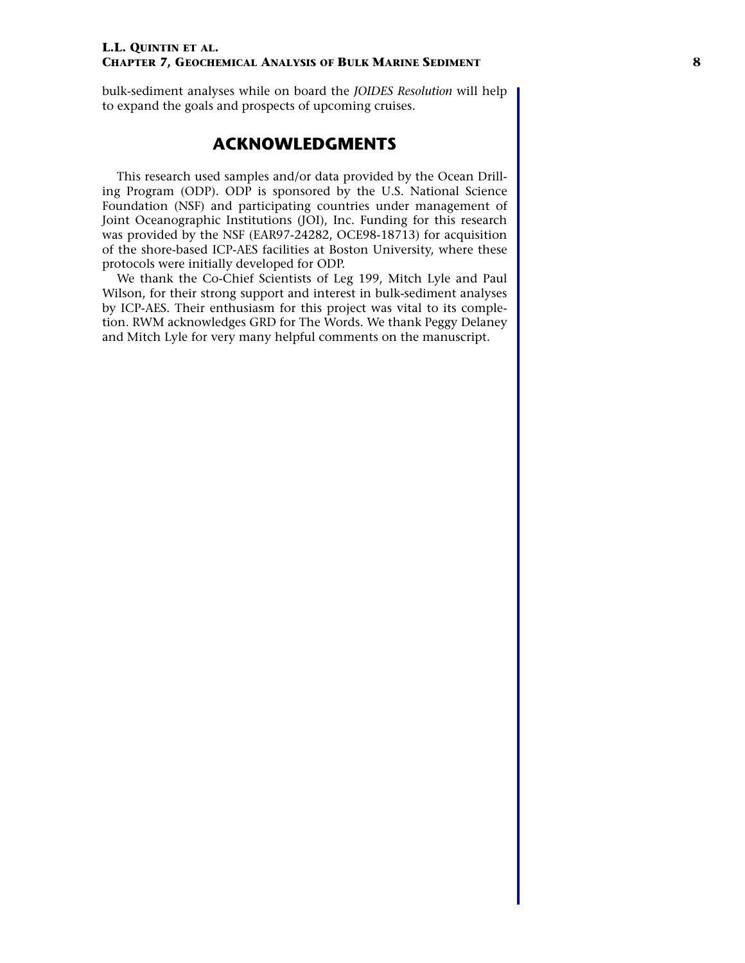bulk-sediment analyses while on board the *JOIDES Resolution* will help to expand the goals and prospects of upcoming cruises.

## **ACKNOWLEDGMENTS**

This research used samples and/or data provided by the Ocean Drilling Program (ODP). ODP is sponsored by the U.S. National Science Foundation (NSF) and participating countries under management of Joint Oceanographic Institutions (JOI), Inc. Funding for this research was provided by the NSF (EAR97-24282, OCE98-18713) for acquisition of the shore-based ICP-AES facilities at Boston University, where these protocols were initially developed for ODP.

We thank the Co-Chief Scientists of Leg 199, Mitch Lyle and Paul Wilson, for their strong support and interest in bulk-sediment analyses by ICP-AES. Their enthusiasm for this project was vital to its completion. RWM acknowledges GRD for The Words. We thank Peggy Delaney and Mitch Lyle for very many helpful comments on the manuscript.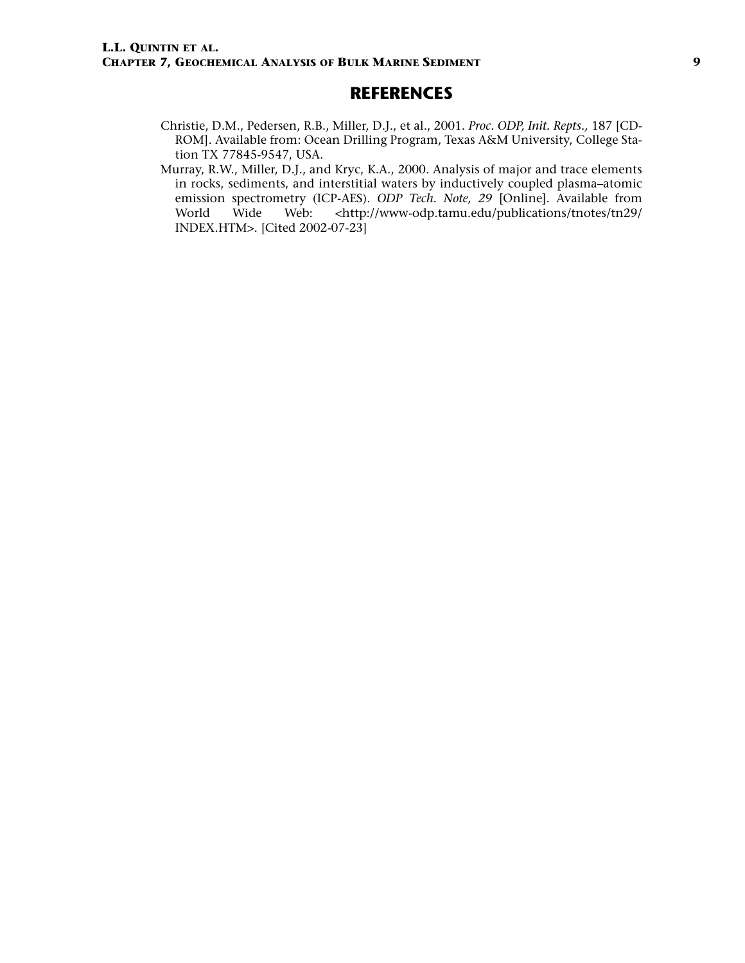## **REFERENCES**

- Christie, D.M., Pedersen, R.B., Miller, D.J., et al., 2001. *Proc. ODP, Init. Repts.,* 187 [CD-ROM]. Available from: Ocean Drilling Program, Texas A&M University, College Station TX 77845-9547, USA.
- Murray, R.W., Miller, D.J., and Kryc, K.A., 2000. Analysis of major and trace elements in rocks, sediments, and interstitial waters by inductively coupled plasma–atomic emission spectrometry (ICP-AES). *ODP Tech. Note, 29* [Online]. Available from World Wide Web: <http://www-odp.tamu.edu/publications/tnotes/tn29/ INDEX.HTM>. [Cited 2002-07-23]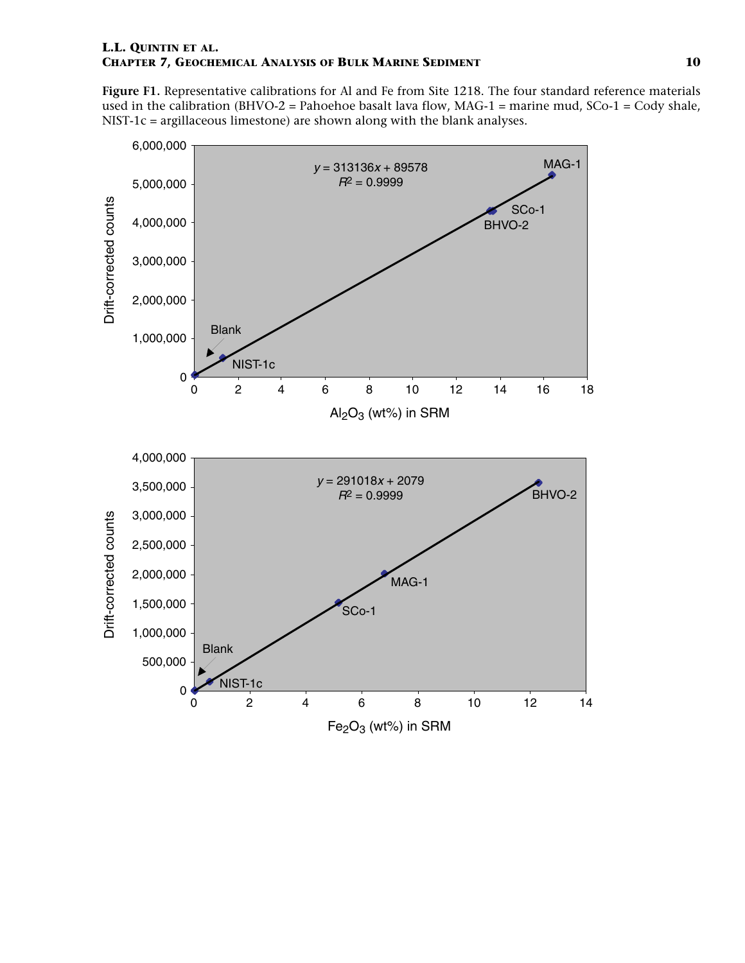<span id="page-9-0"></span>**Figure F1.** Representative calibrations for Al and Fe from Site 1218. The four standard reference materials used in the calibration (BHVO-2 = Pahoehoe basalt lava flow, MAG-1 = marine mud,  $SCo-1 = Cody$  shale, NIST-1c = argillaceous limestone) are shown along with the blank analyses.

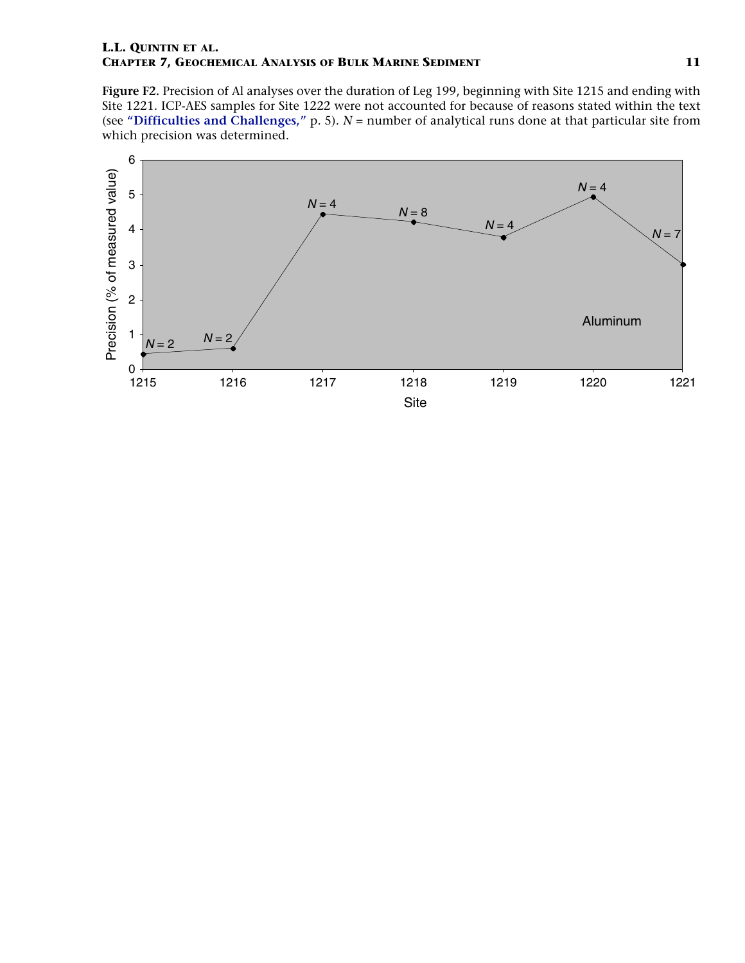<span id="page-10-1"></span><span id="page-10-0"></span>**Figure F2.** Precision of Al analyses over the duration of Leg 199, beginning with Site 1215 and ending with Site 1221. ICP-AES samples for Site 1222 were not accounted for because of reasons stated within the text (see **["Difficulties and Challenges,"](#page-4-0)** p. 5). *N* = number of analytical runs done at that particular site from which precision was determined.

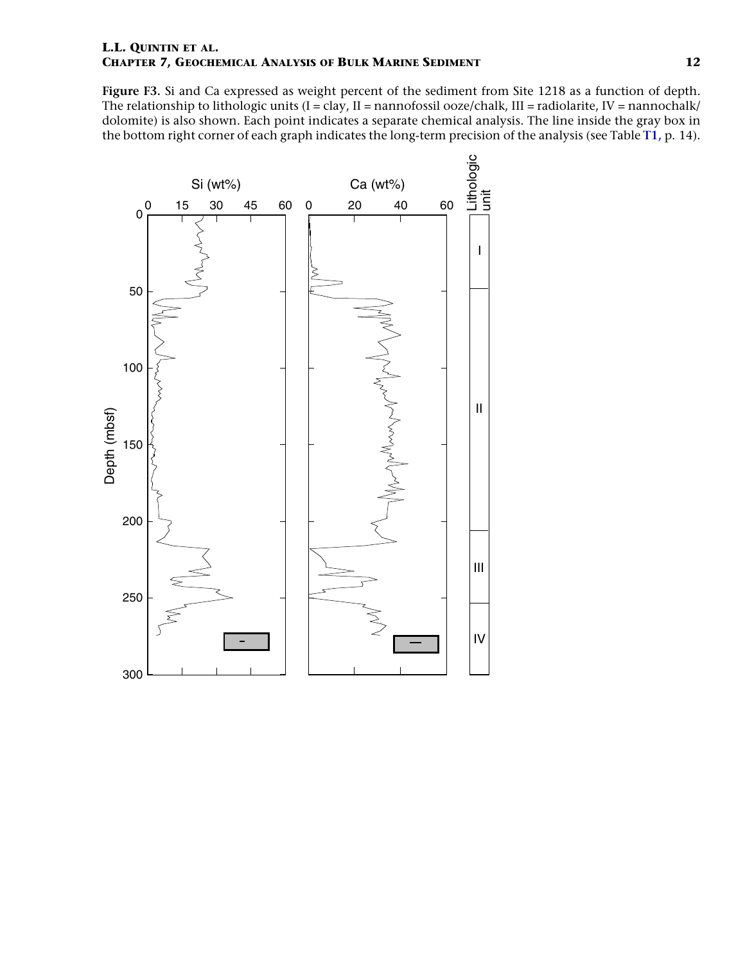<span id="page-11-0"></span>**Figure F3.** Si and Ca expressed as weight percent of the sediment from Site 1218 as a function of depth. The relationship to lithologic units  $(I = clay, II = nannotossil ooze/chalk, III = radiolarite, IV = nannochalk/$ dolomite) is also shown. Each point indicates a separate chemical analysis. The line inside the gray box in the bottom right corner of each graph indicates the long-term precision of the analysis (see Table **[T1,](#page-13-0)** p. 14).

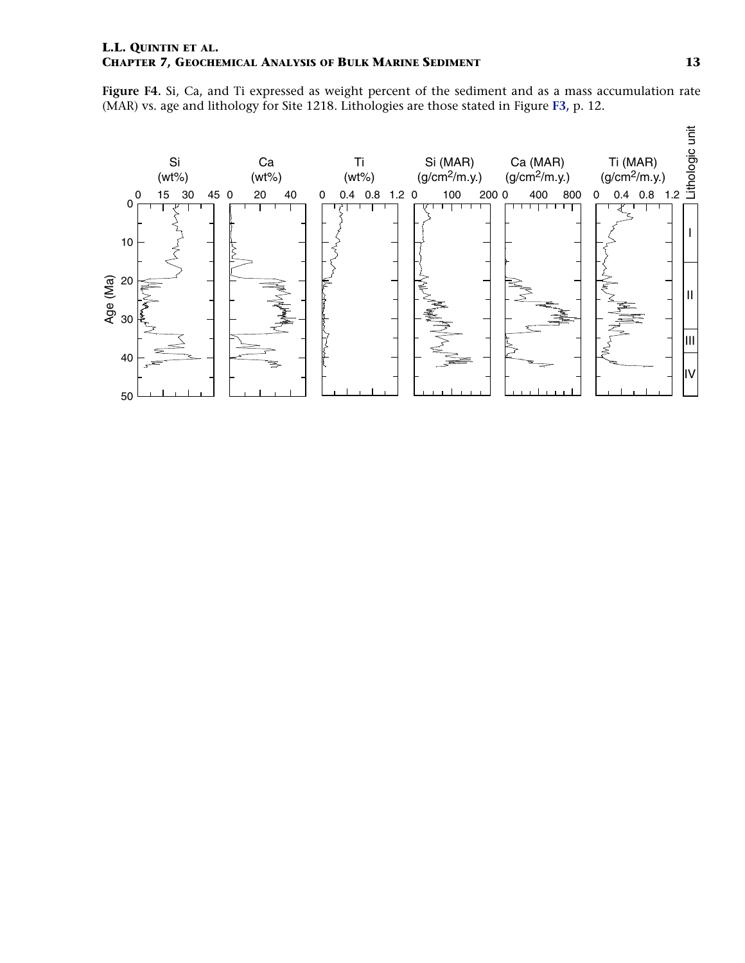<span id="page-12-0"></span>**Figure F4.** Si, Ca, and Ti expressed as weight percent of the sediment and as a mass accumulation rate (MAR) vs. age and lithology for Site 1218. Lithologies are those stated in Figure **[F3,](#page-11-0)** p. 12.